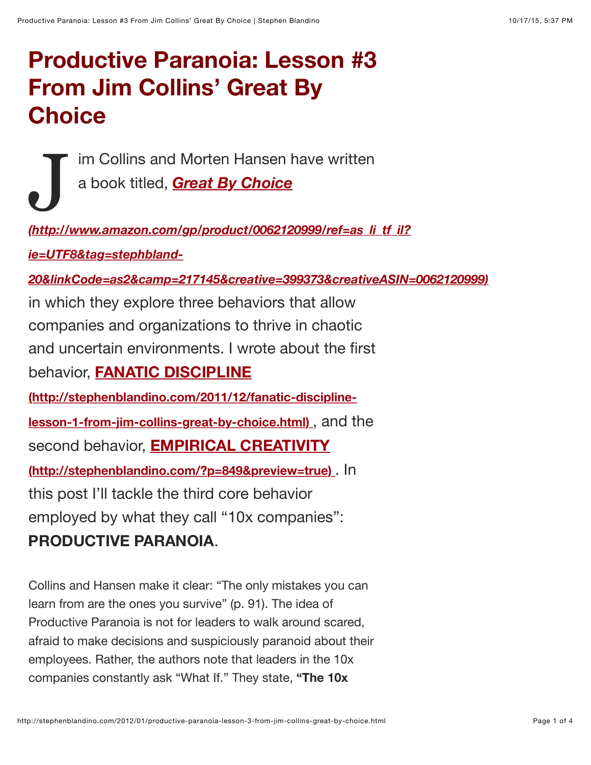## **Productive Paranoia: Lesson #3 From Jim Collins' Great By Choice**

J im Collins and Morten Hansen have written a book titled, *Great By Choice*

*(http://www.amazon.com/gp/product/0062120999/ref=as\_li\_tf\_il?*

*ie=UTF8&tag=stephbland-*

*[20&linkCode=as2&camp=217145&creative=399373&creativeASIN=0062120999\)](http://www.amazon.com/gp/product/0062120999/ref=as_li_tf_il?ie=UTF8&tag=stephbland-20&linkCode=as2&camp=217145&creative=399373&creativeASIN=0062120999)*

in which they explore three behaviors that allow companies and organizations to thrive in chaotic and uncertain environments. I wrote about the first behavior, **FANATIC DISCIPLINE [\(http://stephenblandino.com/2011/12/fanatic-discipline](http://stephenblandino.com/2011/12/fanatic-discipline-lesson-1-from-jim-collins-great-by-choice.html)lesson-1-from-jim-collins-great-by-choice.html)** , and the second behavior, **EMPIRICAL CREATIVITY [\(http://stephenblandino.com/?p=849&preview=true\)](http://stephenblandino.com/?p=849&preview=true)** . In this post I'll tackle the third core behavior employed by what they call "10x companies":

## **PRODUCTIVE PARANOIA**.

Collins and Hansen make it clear: "The only mistakes you can learn from are the ones you survive" (p. 91). The idea of Productive Paranoia is not for leaders to walk around scared, afraid to make decisions and suspiciously paranoid about their employees. Rather, the authors note that leaders in the 10x companies constantly ask "What If." They state, **"The 10x**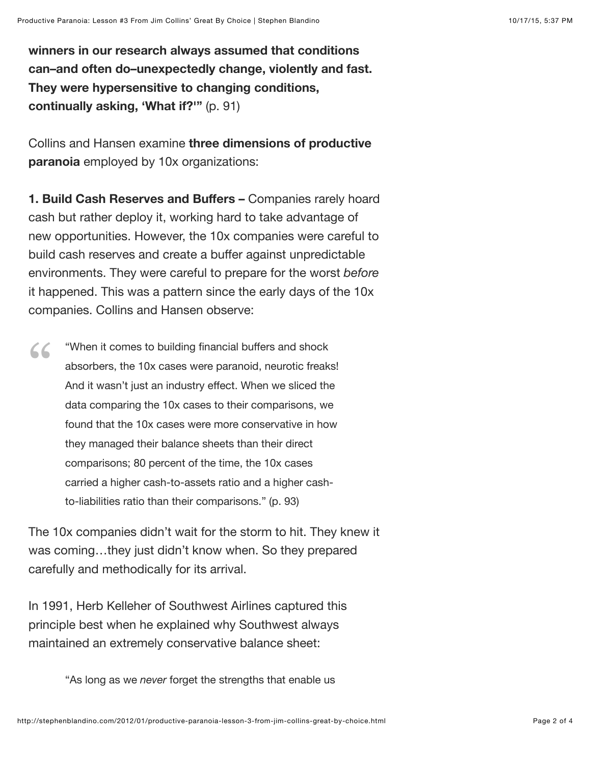**winners in our research always assumed that conditions can–and often do–unexpectedly change, violently and fast. They were hypersensitive to changing conditions, continually asking, 'What if?'"** (p. 91)

Collins and Hansen examine **three dimensions of productive paranoia** employed by 10x organizations:

**1. Build Cash Reserves and Buffers –** Companies rarely hoard cash but rather deploy it, working hard to take advantage of new opportunities. However, the 10x companies were careful to build cash reserves and create a buffer against unpredictable environments. They were careful to prepare for the worst *before* it happened. This was a pattern since the early days of the 10x companies. Collins and Hansen observe:

"When it comes to building financial buffers and shock absorbers, the 10x cases were paranoid, neurotic freaks! And it wasn't just an industry effect. When we sliced the data comparing the 10x cases to their comparisons, we found that the 10x cases were more conservative in how they managed their balance sheets than their direct comparisons; 80 percent of the time, the 10x cases carried a higher cash-to-assets ratio and a higher cashto-liabilities ratio than their comparisons." (p. 93) "

The 10x companies didn't wait for the storm to hit. They knew it was coming…they just didn't know when. So they prepared carefully and methodically for its arrival.

In 1991, Herb Kelleher of Southwest Airlines captured this principle best when he explained why Southwest always maintained an extremely conservative balance sheet:

"As long as we *never* forget the strengths that enable us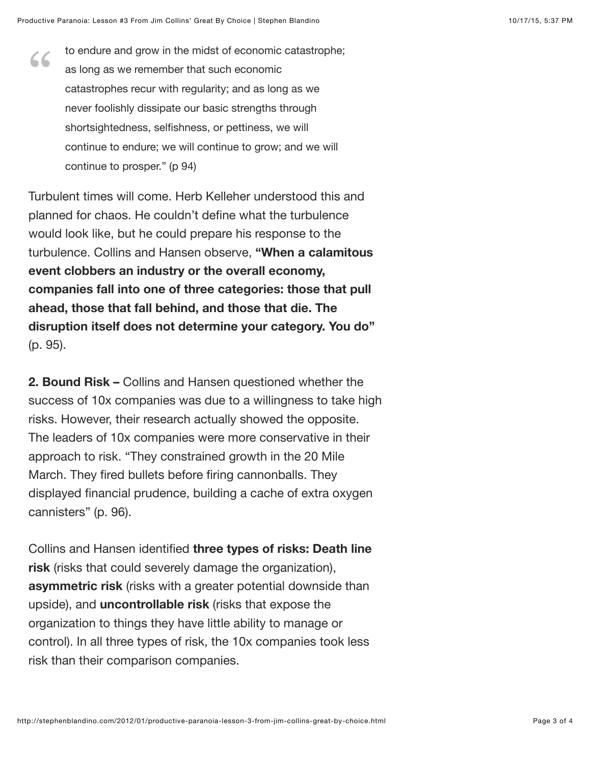to endure and grow in the midst of economic catastrophe; as long as we remember that such economic catastrophes recur with regularity; and as long as we never foolishly dissipate our basic strengths through shortsightedness, selfishness, or pettiness, we will continue to endure; we will continue to grow; and we will continue to prosper." (p 94)  $66$ 

Turbulent times will come. Herb Kelleher understood this and planned for chaos. He couldn't define what the turbulence would look like, but he could prepare his response to the turbulence. Collins and Hansen observe, **"When a calamitous event clobbers an industry or the overall economy, companies fall into one of three categories: those that pull ahead, those that fall behind, and those that die. The disruption itself does not determine your category. You do"** (p. 95).

**2. Bound Risk –** Collins and Hansen questioned whether the success of 10x companies was due to a willingness to take high risks. However, their research actually showed the opposite. The leaders of 10x companies were more conservative in their approach to risk. "They constrained growth in the 20 Mile March. They fired bullets before firing cannonballs. They displayed financial prudence, building a cache of extra oxygen cannisters" (p. 96).

Collins and Hansen identified **three types of risks: Death line risk** (risks that could severely damage the organization), **asymmetric risk** (risks with a greater potential downside than upside), and **uncontrollable risk** (risks that expose the organization to things they have little ability to manage or control). In all three types of risk, the 10x companies took less risk than their comparison companies.